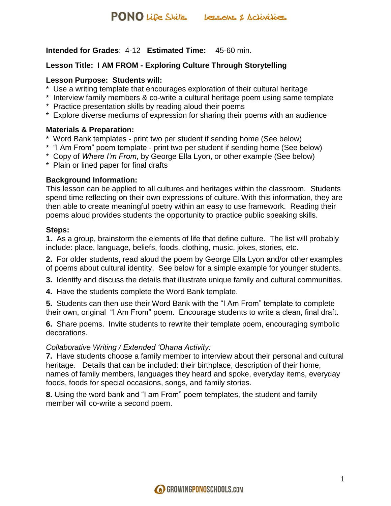**Intended for Grades**: 4-12 **Estimated Time:** 45-60 min.

## **Lesson Title: I AM FROM - Exploring Culture Through Storytelling**

### **Lesson Purpose: Students will:**

- \* Use a writing template that encourages exploration of their cultural heritage
- \* Interview family members & co-write a cultural heritage poem using same template
- \* Practice presentation skills by reading aloud their poems
- \* Explore diverse mediums of expression for sharing their poems with an audience

## **Materials & Preparation:**

- \* Word Bank templates print two per student if sending home (See below)
- \* "I Am From" poem template print two per student if sending home (See below)
- \* Copy of *Where I'm From*, by George Ella Lyon, or other example (See below)
- \* Plain or lined paper for final drafts

## **Background Information:**

This lesson can be applied to all cultures and heritages within the classroom. Students spend time reflecting on their own expressions of culture. With this information, they are then able to create meaningful poetry within an easy to use framework. Reading their poems aloud provides students the opportunity to practice public speaking skills.

## **Steps:**

**1.** As a group, brainstorm the elements of life that define culture. The list will probably include: place, language, beliefs, foods, clothing, music, jokes, stories, etc.

**2.** For older students, read aloud the poem by George Ella Lyon and/or other examples of poems about cultural identity. See below for a simple example for younger students.

**3.** Identify and discuss the details that illustrate unique family and cultural communities.

**4.** Have the students complete the Word Bank template.

**5.** Students can then use their Word Bank with the "I Am From" template to complete their own, original "I Am From" poem. Encourage students to write a clean, final draft.

**6.** Share poems. Invite students to rewrite their template poem, encouraging symbolic decorations.

### *Collaborative Writing / Extended 'Ohana Activity:*

**7.** Have students choose a family member to interview about their personal and cultural heritage. Details that can be included: their birthplace, description of their home, names of family members, languages they heard and spoke, everyday items, everyday foods, foods for special occasions, songs, and family stories.

**8.** Using the word bank and "I am From" poem templates, the student and family member will co-write a second poem.

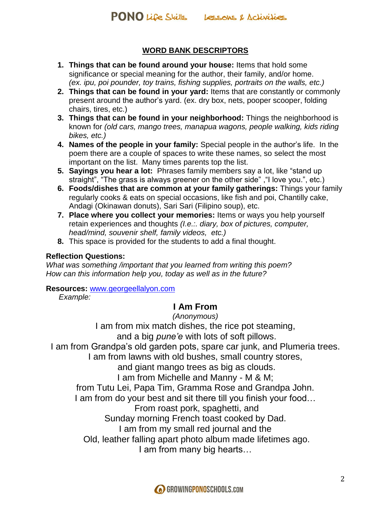## **WORD BANK DESCRIPTORS**

- **1. Things that can be found around your house:** Items that hold some significance or special meaning for the author, their family, and/or home. *(ex. ipu, poi pounder, toy trains, fishing supplies, portraits on the walls, etc.)*
- **2. Things that can be found in your yard:** Items that are constantly or commonly present around the author's yard. (ex. dry box, nets, pooper scooper, folding chairs, tires, etc.)
- **3. Things that can be found in your neighborhood:** Things the neighborhood is known for *(old cars, mango trees, manapua wagons, people walking, kids riding bikes, etc.)*
- **4. Names of the people in your family:** Special people in the author's life. In the poem there are a couple of spaces to write these names, so select the most important on the list. Many times parents top the list.
- **5. Sayings you hear a lot:** Phrases family members say a lot, like "stand up straight", "The grass is always greener on the other side" ,"I love you.", etc.)
- **6. Foods/dishes that are common at your family gatherings:** Things your family regularly cooks & eats on special occasions, like fish and poi, Chantilly cake, Andagi (Okinawan donuts), Sari Sari (Filipino soup), etc.
- **7. Place where you collect your memories:** Items or ways you help yourself retain experiences and thoughts *(I.e.:. diary, box of pictures, computer, head/mind, souvenir shelf, family videos, etc.)*
- **8.** This space is provided for the students to add a final thought.

## **Reflection Questions:**

*What was something /important that you learned from writing this poem? How can this information help you, today as well as in the future?*

**Resources:** [www.georgeellalyon.com](http://www.georgeellalyon.com/)

*Example:*

## **I Am From**

*(Anonymous)*

I am from mix match dishes, the rice pot steaming, and a big *pune'e* with lots of soft pillows. I am from Grandpa's old garden pots, spare car junk, and Plumeria trees. I am from lawns with old bushes, small country stores, and giant mango trees as big as clouds. I am from Michelle and Manny - M & M; from Tutu Lei, Papa Tim, Gramma Rose and Grandpa John. I am from do your best and sit there till you finish your food... From roast pork, spaghetti, and Sunday morning French toast cooked by Dad. I am from my small red journal and the Old, leather falling apart photo album made lifetimes ago. I am from many big hearts…

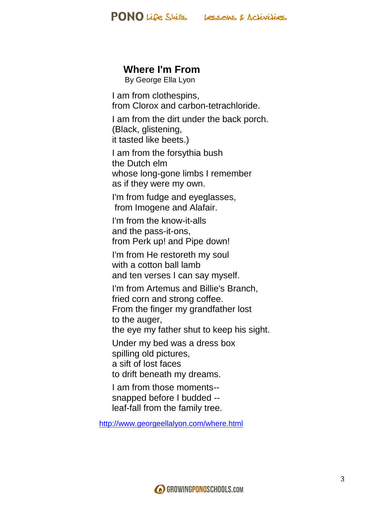

## **Where I'm From**

By George Ella Lyon

I am from clothespins, from Clorox and carbon-tetrachloride.

I am from the dirt under the back porch. (Black, glistening, it tasted like beets.)

I am from the forsythia bush the Dutch elm whose long-gone limbs I remember as if they were my own.

I'm from fudge and eyeglasses, from Imogene and Alafair.

I'm from the know-it-alls and the pass-it-ons, from Perk up! and Pipe down!

I'm from He restoreth my soul with a cotton ball lamb and ten verses I can say myself.

I'm from Artemus and Billie's Branch, fried corn and strong coffee. From the finger my grandfather lost

to the auger,

the eye my father shut to keep his sight.

Under my bed was a dress box spilling old pictures, a sift of lost faces

to drift beneath my dreams.

I am from those moments- snapped before I budded - leaf-fall from the family tree.

<http://www.georgeellalyon.com/where.html>

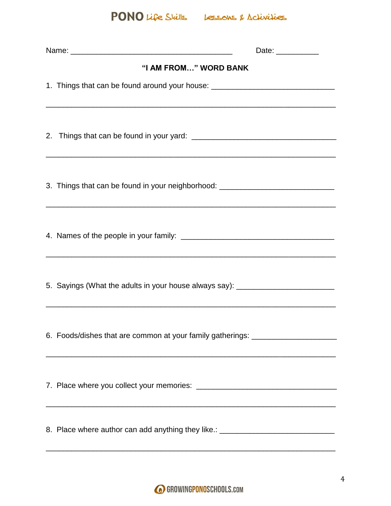PONO Life Skills Lessons & Activities

| Date: $\frac{1}{\sqrt{1-\frac{1}{2}}\cdot\frac{1}{2}}$                           |  |  |  |  |  |
|----------------------------------------------------------------------------------|--|--|--|--|--|
| "I AM FROM" WORD BANK                                                            |  |  |  |  |  |
| 1. Things that can be found around your house: _________________________________ |  |  |  |  |  |
|                                                                                  |  |  |  |  |  |
| 3. Things that can be found in your neighborhood: ______________________________ |  |  |  |  |  |
| ,我们也不能在这里的时候,我们也不能在这里的时候,我们也不能在这里的时候,我们也不能会不能会不能会不能会不能会不能会不能会不能会。""我们的时候,我们也不能会不 |  |  |  |  |  |
| 5. Sayings (What the adults in your house always say): _________________________ |  |  |  |  |  |
| 6. Foods/dishes that are common at your family gatherings: _____________________ |  |  |  |  |  |
|                                                                                  |  |  |  |  |  |
| 8. Place where author can add anything they like.: _____________________________ |  |  |  |  |  |